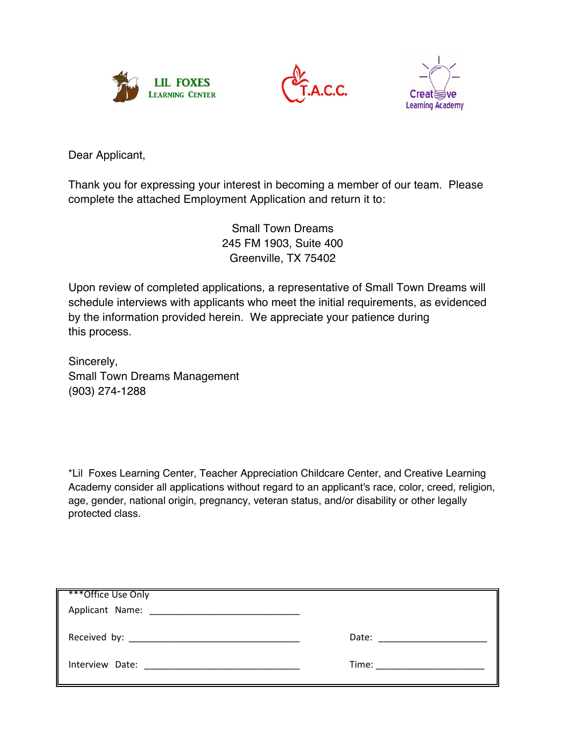





Dear Applicant,

Thank you for expressing your interest in becoming a member of our team. Please complete the attached Employment Application and return it to:

> Small Town Dreams 245 FM 1903, Suite 400 Greenville, TX 75402

Upon review of completed applications, a representative of Small Town Dreams will schedule interviews with applicants who meet the initial requirements, as evidenced by the information provided herein. We appreciate your patience during this process.

Sincerely, Small Town Dreams Management (903) 274-1288

\*Lil Foxes Learning Center, Teacher Appreciation Childcare Center, and Creative Learning Academy consider all applications without regard to an applicant's race, color, creed, religion, age, gender, national origin, pregnancy, veteran status, and/or disability or other legally protected class.

| ***Office Use Only                  |                                                                                                                                                                                                                                |
|-------------------------------------|--------------------------------------------------------------------------------------------------------------------------------------------------------------------------------------------------------------------------------|
| Received by: Necessary Received by: | Date: the contract of the contract of the contract of the contract of the contract of the contract of the contract of the contract of the contract of the contract of the contract of the contract of the contract of the cont |
| Interview Date:                     | Time: $\qquad \qquad$                                                                                                                                                                                                          |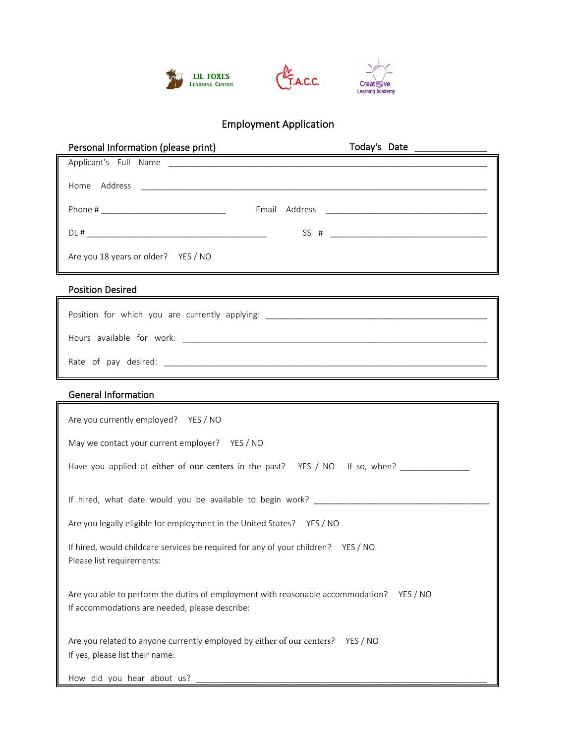

# Employment Application

| Personal Information (please print)                           | Today's Date National Contract of Today's Date |
|---------------------------------------------------------------|------------------------------------------------|
|                                                               |                                                |
| Home Address<br><u> 1980 - Andrea Andrew Maria (h. 1980).</u> |                                                |
|                                                               |                                                |
|                                                               |                                                |
| Are you 18 years or older? YES / NO                           |                                                |

# Position Desired

| Position for which you are currently applying: _________________________________ |
|----------------------------------------------------------------------------------|
| Hours available for work:                                                        |
| Rate of pay desired:                                                             |

# General Information

| Are you currently employed? YES / NO                                                                                                       |  |  |  |  |
|--------------------------------------------------------------------------------------------------------------------------------------------|--|--|--|--|
| May we contact your current employer? YES / NO                                                                                             |  |  |  |  |
| Have you applied at either of our centers in the past? YES / NO If so, when?                                                               |  |  |  |  |
| If hired, what date would you be available to begin work?                                                                                  |  |  |  |  |
| Are you legally eligible for employment in the United States? YES / NO                                                                     |  |  |  |  |
| If hired, would childcare services be required for any of your children? YES / NO<br>Please list requirements:                             |  |  |  |  |
| Are you able to perform the duties of employment with reasonable accommodation? YES / NO<br>If accommodations are needed, please describe: |  |  |  |  |
| Are you related to anyone currently employed by either of our centers? YES / NO<br>If yes, please list their name:                         |  |  |  |  |
| How did you hear about us? ___________                                                                                                     |  |  |  |  |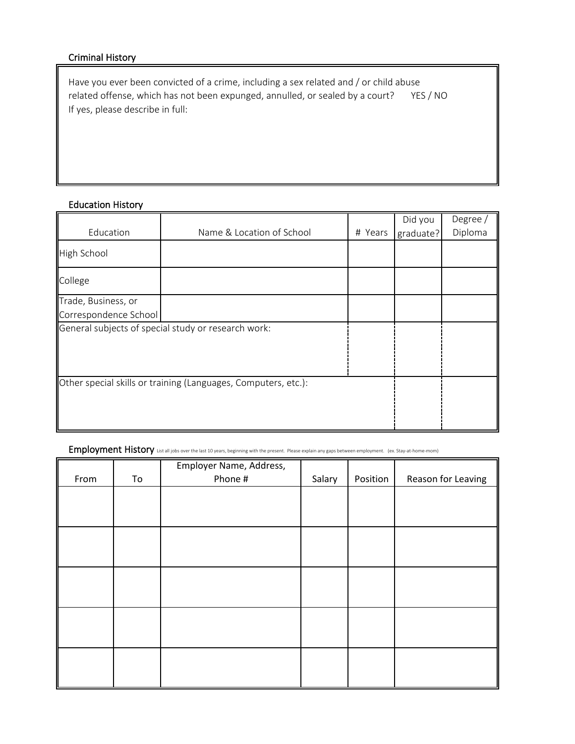### Criminal History

Have you ever been convicted of a crime, including a sex related and / or child abuse related offense, which has not been expunged, annulled, or sealed by a court? YES / NO If yes, please describe in full:

# Education History

|                                                                |  |  | Did you | Degree /             |
|----------------------------------------------------------------|--|--|---------|----------------------|
| Education<br>Name & Location of School<br># Years              |  |  |         | Diploma<br>graduate? |
| High School                                                    |  |  |         |                      |
| College                                                        |  |  |         |                      |
| Trade, Business, or                                            |  |  |         |                      |
| Correspondence School                                          |  |  |         |                      |
| General subjects of special study or research work:            |  |  |         |                      |
|                                                                |  |  |         |                      |
|                                                                |  |  |         |                      |
|                                                                |  |  |         |                      |
| Other special skills or training (Languages, Computers, etc.): |  |  |         |                      |
|                                                                |  |  |         |                      |
|                                                                |  |  |         |                      |
|                                                                |  |  |         |                      |

### Employment History List all jobs over the last 10 years, beginning with the present. Please explain any gaps between employment. (ex. Stay-at-home-mom)

|      |    | Employer Name, Address, |        |          |                    |
|------|----|-------------------------|--------|----------|--------------------|
| From | To | Phone #                 | Salary | Position | Reason for Leaving |
|      |    |                         |        |          |                    |
|      |    |                         |        |          |                    |
|      |    |                         |        |          |                    |
|      |    |                         |        |          |                    |
|      |    |                         |        |          |                    |
|      |    |                         |        |          |                    |
|      |    |                         |        |          |                    |
|      |    |                         |        |          |                    |
|      |    |                         |        |          |                    |
|      |    |                         |        |          |                    |
|      |    |                         |        |          |                    |
|      |    |                         |        |          |                    |
|      |    |                         |        |          |                    |
|      |    |                         |        |          |                    |
|      |    |                         |        |          |                    |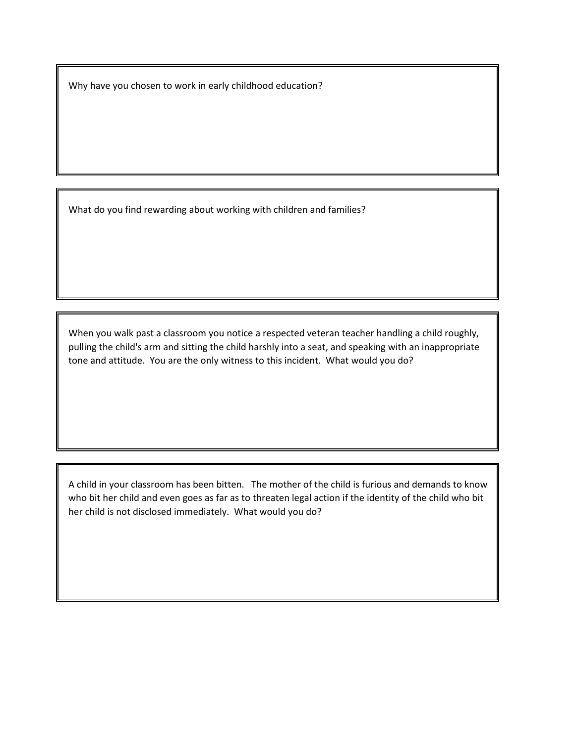Why have you chosen to work in early childhood education?

What do you find rewarding about working with children and families?

When you walk past a classroom you notice a respected veteran teacher handling a child roughly, pulling the child's arm and sitting the child harshly into a seat, and speaking with an inappropriate tone and attitude. You are the only witness to this incident. What would you do?

A child in your classroom has been bitten. The mother of the child is furious and demands to know who bit her child and even goes as far as to threaten legal action if the identity of the child who bit her child is not disclosed immediately. What would you do?